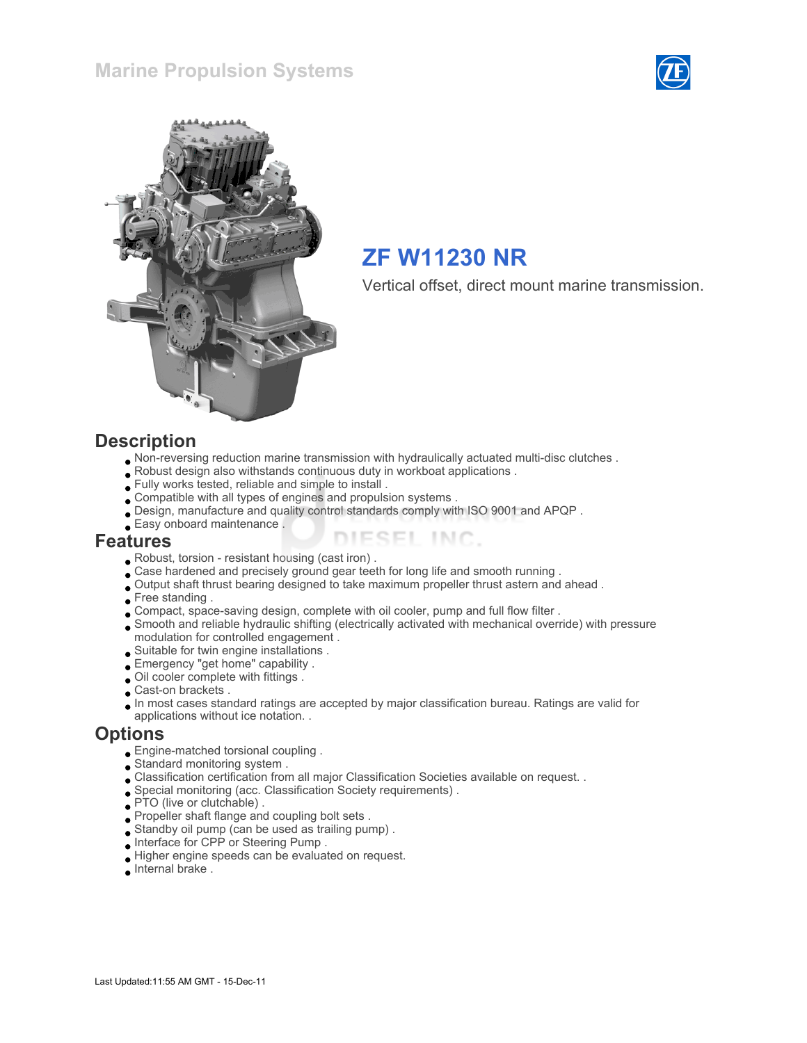



# ZF W11230 NR

Vertical offset, direct mount marine transmission.

#### **Description**

- Non-reversing reduction marine transmission with hydraulically actuated multi-disc clutches .
- Robust design also withstands continuous duty in workboat applications .
- Fully works tested, reliable and simple to install .
- Compatible with all types of engines and propulsion systems .
- Design, manufacture and quality control standards comply with ISO 9001 and APQP .
- Easy onboard maintenance .

#### Features

- Robust, torsion resistant housing (cast iron) .
- Case hardened and precisely ground gear teeth for long life and smooth running .
- Output shaft thrust bearing designed to take maximum propeller thrust astern and ahead .
- Free standing .
- Compact, space-saving design, complete with oil cooler, pump and full flow filter .
- Smooth and reliable hydraulic shifting (electrically activated with mechanical override) with pressure modulation for controlled engagement .

ESEL INC.

- Suitable for twin engine installations .
- Emergency "get home" capability .
- Oil cooler complete with fittings .
- Cast-on brackets .
- In most cases standard ratings are accepted by major classification bureau. Ratings are valid for
- applications without ice notation. .

#### **Options**

- Engine-matched torsional coupling .
- Standard monitoring system .
- Classification certification from all major Classification Societies available on request. .
- Special monitoring (acc. Classification Society requirements) .
- **PTO** (live or clutchable).
- Propeller shaft flange and coupling bolt sets .
- Standby oil pump (can be used as trailing pump) .
- Interface for CPP or Steering Pump .
- Higher engine speeds can be evaluated on request.
- Internal brake .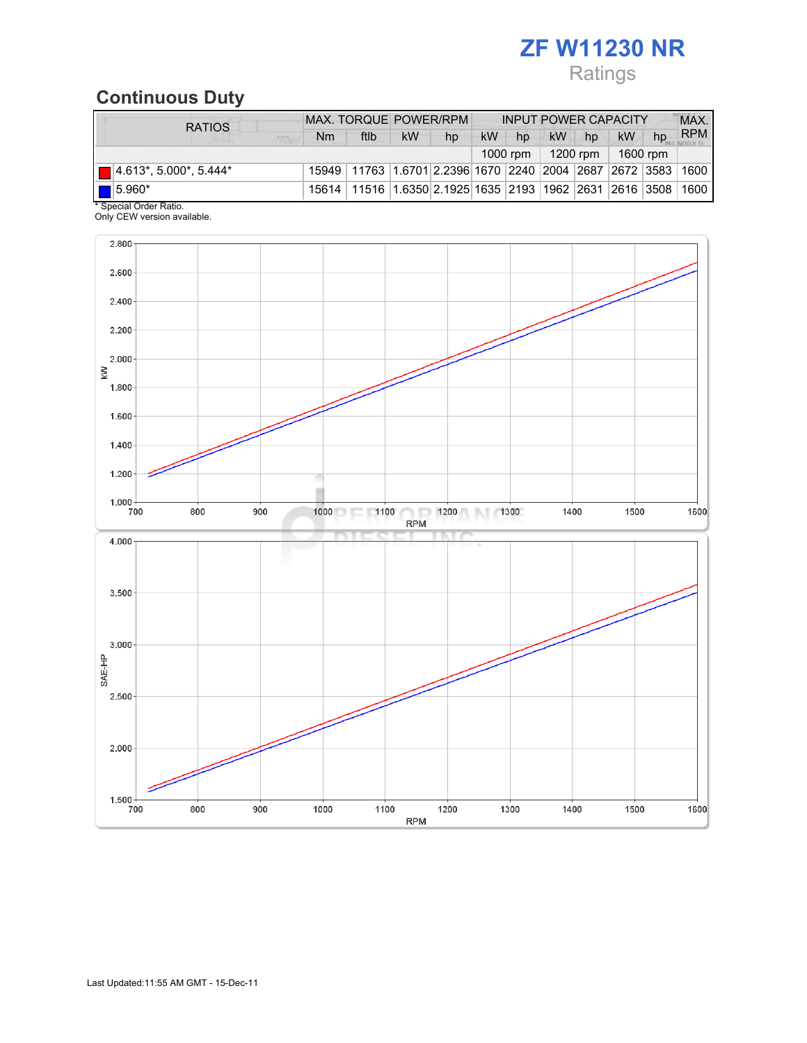# ZF W11230 NR

# Ratings

# Continuous Duty

| <b>RATIOS</b>                 | MAX. TORQUE POWER/RPM |                                                                                  |    | <b>INPUT POWER CAPACITY</b> |           |    |                      |       | MAX.      |    |            |
|-------------------------------|-----------------------|----------------------------------------------------------------------------------|----|-----------------------------|-----------|----|----------------------|-------|-----------|----|------------|
| <b>SEEK</b>                   | Nm                    | ftlb                                                                             | kW | hp                          | <b>kW</b> | hp |                      | kW hp | <b>kW</b> | hp | <b>RPM</b> |
|                               |                       |                                                                                  |    |                             |           |    | 1200 rpm $\parallel$ |       | 1600 rpm  |    |            |
| $\Box$ 4.613*, 5.000*, 5.444* |                       | 15949   11763   1.6701   2.2396   1670   2240   2004   2687   2672   3583   1600 |    |                             |           |    |                      |       |           |    |            |
| $\blacksquare$ 5.960*         |                       | 15614   11516   1.6350   2.1925   1635   2193   1962   2631   2616   3508   1600 |    |                             |           |    |                      |       |           |    |            |
| * Special Order Ratio.        |                       |                                                                                  |    |                             |           |    |                      |       |           |    |            |

Only CEW version available.

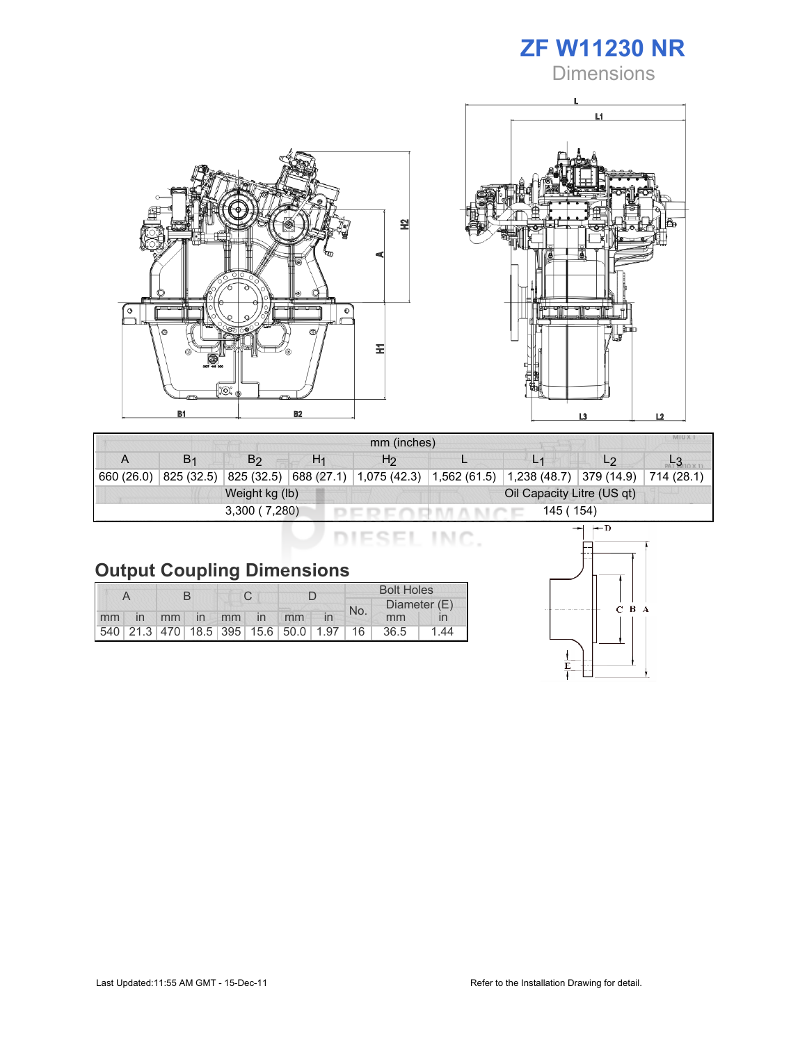

**Dimensions** 





| mm (inches) |                |                |    |                                                                                    |  |                |  |  |  |  |
|-------------|----------------|----------------|----|------------------------------------------------------------------------------------|--|----------------|--|--|--|--|
| А           | B <sub>1</sub> | B2             | H1 | H <sub>2</sub>                                                                     |  | L <sub>1</sub> |  |  |  |  |
| 660 (26.0)  | 825 (32.5)     |                |    | 825 (32.5) 688 (27.1) 1,075 (42.3) 1,562 (61.5) 1,238 (48.7) 379 (14.9) 714 (28.1) |  |                |  |  |  |  |
|             |                | Weight kg (lb) |    | Oil Capacity Litre (US qt)                                                         |  |                |  |  |  |  |
|             |                | 3,300(7,280)   |    |                                                                                    |  | 145 (154)      |  |  |  |  |

DIESEL INC.

# Output Coupling Dimensions

|    |    |  |             |  |  | <b>Bolt Holes</b>                       |     |              |      |      |
|----|----|--|-------------|--|--|-----------------------------------------|-----|--------------|------|------|
|    |    |  |             |  |  |                                         | No. | Diameter (E) |      |      |
| mm | in |  | mm in mm in |  |  | mm                                      |     |              | mm   |      |
|    |    |  |             |  |  | 540 21.3 470 18.5 395 15.6 50.0 1.97 16 |     |              | 36.5 | 1 44 |